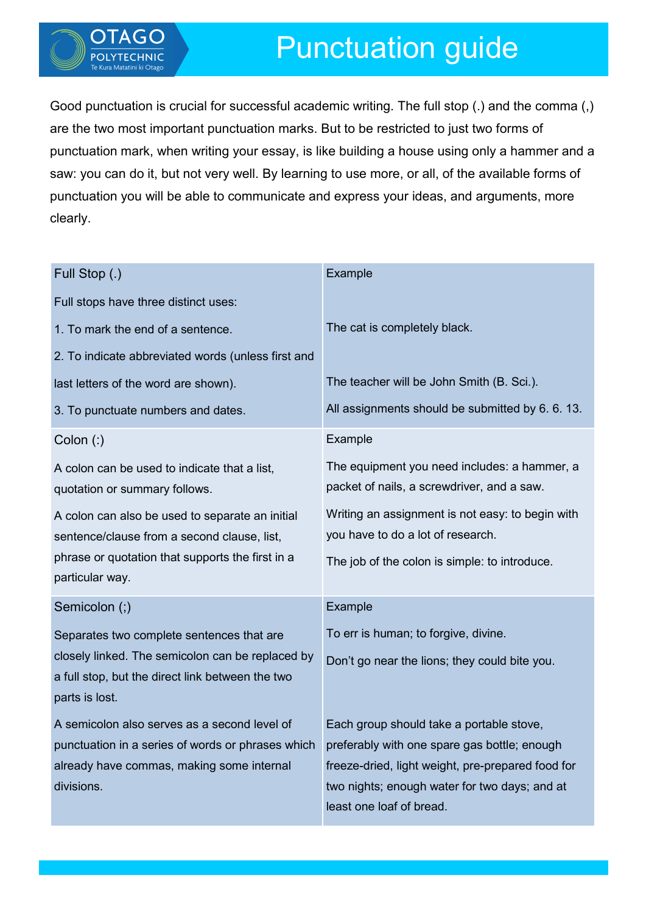

Good punctuation is crucial for successful academic writing. The full stop (.) and the comma (,) are the two most important punctuation marks. But to be restricted to just two forms of punctuation mark, when writing your essay, is like building a house using only a hammer and a saw: you can do it, but not very well. By learning to use more, or all, of the available forms of punctuation you will be able to communicate and express your ideas, and arguments, more clearly.

| Full Stop (.)                                                                                                          | Example                                                                                    |
|------------------------------------------------------------------------------------------------------------------------|--------------------------------------------------------------------------------------------|
| Full stops have three distinct uses:                                                                                   |                                                                                            |
| 1. To mark the end of a sentence.                                                                                      | The cat is completely black.                                                               |
| 2. To indicate abbreviated words (unless first and                                                                     |                                                                                            |
| last letters of the word are shown).                                                                                   | The teacher will be John Smith (B. Sci.).                                                  |
| 3. To punctuate numbers and dates.                                                                                     | All assignments should be submitted by 6.6.13.                                             |
| $Colon$ (:)                                                                                                            | Example                                                                                    |
| A colon can be used to indicate that a list,<br>quotation or summary follows.                                          | The equipment you need includes: a hammer, a<br>packet of nails, a screwdriver, and a saw. |
| A colon can also be used to separate an initial<br>sentence/clause from a second clause, list,                         | Writing an assignment is not easy: to begin with<br>you have to do a lot of research.      |
| phrase or quotation that supports the first in a<br>particular way.                                                    | The job of the colon is simple: to introduce.                                              |
| Semicolon (;)                                                                                                          | Example                                                                                    |
| Separates two complete sentences that are                                                                              | To err is human; to forgive, divine.                                                       |
| closely linked. The semicolon can be replaced by<br>a full stop, but the direct link between the two<br>parts is lost. | Don't go near the lions; they could bite you.                                              |
| A semicolon also serves as a second level of                                                                           | Each group should take a portable stove,                                                   |
| punctuation in a series of words or phrases which                                                                      | preferably with one spare gas bottle; enough                                               |
| already have commas, making some internal                                                                              | freeze-dried, light weight, pre-prepared food for                                          |
| divisions.                                                                                                             | two nights; enough water for two days; and at                                              |
|                                                                                                                        | least one loaf of bread.                                                                   |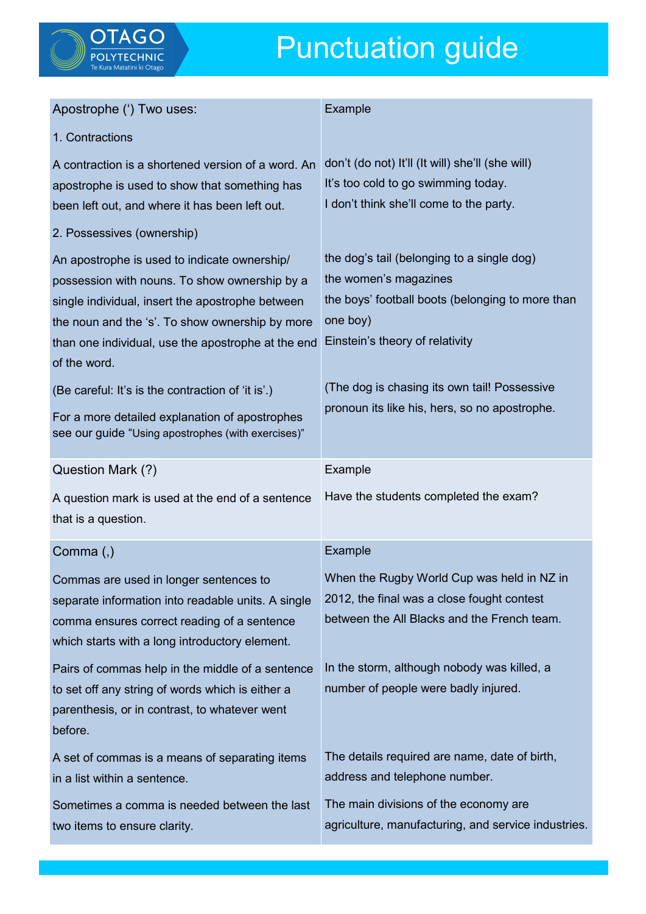

## Punctuation guide

| Apostrophe (') Two uses:                           | Example                                                                                       |
|----------------------------------------------------|-----------------------------------------------------------------------------------------------|
| 1. Contractions                                    |                                                                                               |
| A contraction is a shortened version of a word. An | don't (do not) It'll (It will) she'll (she will)                                              |
| apostrophe is used to show that something has      | It's too cold to go swimming today.                                                           |
| been left out, and where it has been left out.     | I don't think she'll come to the party.                                                       |
| 2. Possessives (ownership)                         |                                                                                               |
| An apostrophe is used to indicate ownership/       | the dog's tail (belonging to a single dog)                                                    |
| possession with nouns. To show ownership by a      | the women's magazines                                                                         |
| single individual, insert the apostrophe between   | the boys' football boots (belonging to more than                                              |
| the noun and the 's'. To show ownership by more    | one boy)                                                                                      |
| than one individual, use the apostrophe at the end | Einstein's theory of relativity                                                               |
| of the word.                                       |                                                                                               |
| (Be careful: It's is the contraction of 'it is'.)  | (The dog is chasing its own tail! Possessive<br>pronoun its like his, hers, so no apostrophe. |
| For a more detailed explanation of apostrophes     |                                                                                               |
| see our guide "Using apostrophes (with exercises)" |                                                                                               |
| Question Mark (?)                                  | Example                                                                                       |
|                                                    |                                                                                               |
| A question mark is used at the end of a sentence   | Have the students completed the exam?                                                         |
| that is a question.                                |                                                                                               |
| Comma (,)                                          | Example                                                                                       |
| Commas are used in longer sentences to             | When the Rugby World Cup was held in NZ in                                                    |
| separate information into readable units. A single | 2012, the final was a close fought contest                                                    |
| comma ensures correct reading of a sentence        | between the All Blacks and the French team.                                                   |
| which starts with a long introductory element.     |                                                                                               |
| Pairs of commas help in the middle of a sentence   | In the storm, although nobody was killed, a                                                   |
| to set off any string of words which is either a   | number of people were badly injured.                                                          |
| parenthesis, or in contrast, to whatever went      |                                                                                               |
| before.                                            |                                                                                               |
| A set of commas is a means of separating items     | The details required are name, date of birth,                                                 |
| in a list within a sentence.                       | address and telephone number.                                                                 |
| Sometimes a comma is needed between the last       | The main divisions of the economy are                                                         |
| two items to ensure clarity.                       | agriculture, manufacturing, and service industries.                                           |